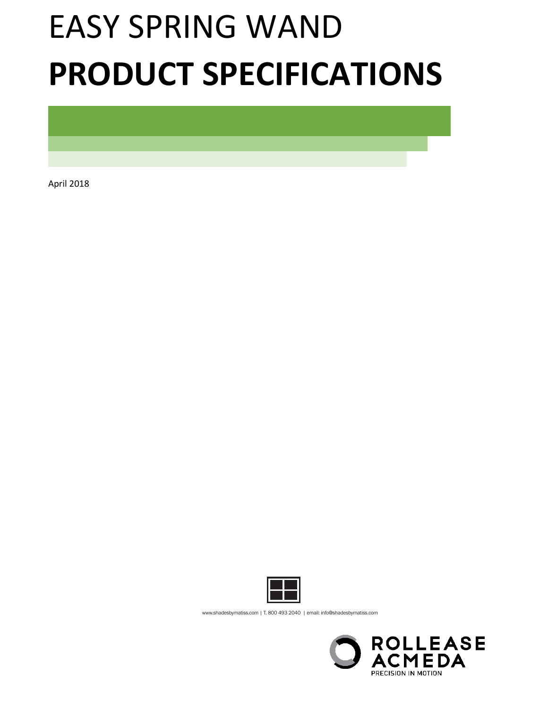# EASY SPRING WAND **PRODUCT SPECIFICATIONS**

April 2018



www.shadesbymatiss.com | T. 800 493 2040 | email: info@shadesbymatiss.com

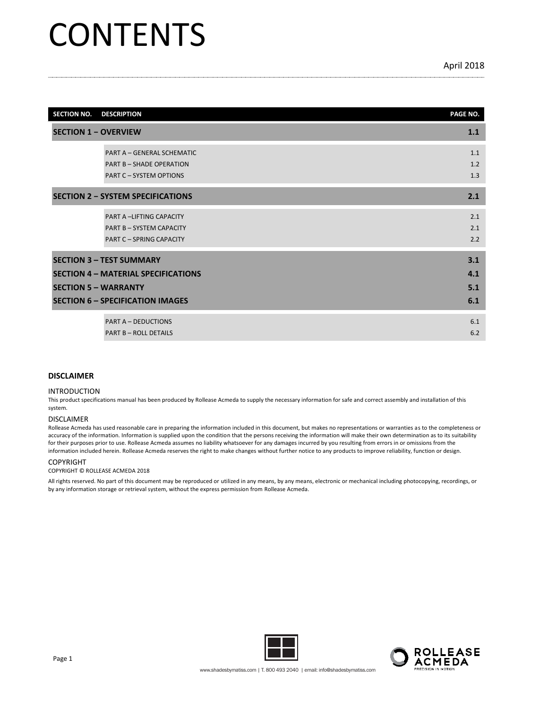## **CONTENTS**

| <b>SECTION NO.</b>          | <b>DESCRIPTION</b>                                                                                                                                      | PAGE NO.                 |
|-----------------------------|---------------------------------------------------------------------------------------------------------------------------------------------------------|--------------------------|
| <b>SECTION 1 - OVERVIEW</b> |                                                                                                                                                         | 1.1                      |
|                             | PART A - GENERAL SCHEMATIC<br><b>PART B - SHADE OPERATION</b><br><b>PART C - SYSTEM OPTIONS</b>                                                         | 1.1<br>1.2<br>1.3        |
|                             | <b>SECTION 2 - SYSTEM SPECIFICATIONS</b>                                                                                                                | 2.1                      |
|                             | <b>PART A -LIFTING CAPACITY</b><br><b>PART B - SYSTEM CAPACITY</b><br><b>PART C - SPRING CAPACITY</b>                                                   | 2.1<br>2.1<br>2.2        |
|                             | <b>SECTION 3 - TEST SUMMARY</b><br><b>SECTION 4 - MATERIAL SPECIFICATIONS</b><br><b>SECTION 5 - WARRANTY</b><br><b>SECTION 6 - SPECIFICATION IMAGES</b> | 3.1<br>4.1<br>5.1<br>6.1 |
|                             | <b>PART A - DEDUCTIONS</b><br><b>PART B - ROLL DETAILS</b>                                                                                              | 6.1<br>6.2               |

#### **DISCLAIMER**

#### INTRODUCTION

This product specifications manual has been produced by Rollease Acmeda to supply the necessary information for safe and correct assembly and installation of this system.

#### DISCLAIMER

Rollease Acmeda has used reasonable care in preparing the information included in this document, but makes no representations or warranties as to the completeness or accuracy of the information. Information is supplied upon the condition that the persons receiving the information will make their own determination as to its suitability for their purposes prior to use. Rollease Acmeda assumes no liability whatsoever for any damages incurred by you resulting from errors in or omissions from the information included herein. Rollease Acmeda reserves the right to make changes without further notice to any products to improve reliability, function or design.

#### COPYRIGHT

#### COPYRIGHT © ROLLEASE ACMEDA 2018

All rights reserved. No part of this document may be reproduced or utilized in any means, by any means, electronic or mechanical including photocopying, recordings, or by any information storage or retrieval system, without the express permission from Rollease Acmeda.



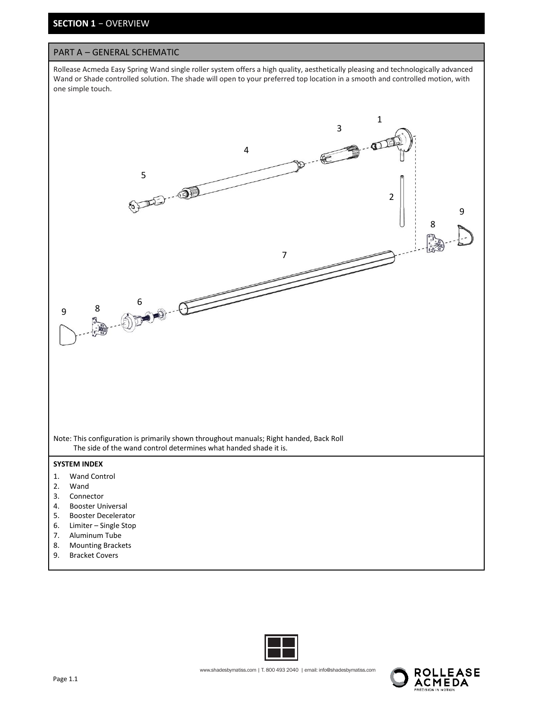## **SECTION 1** − OVERVIEW

#### PART A – GENERAL SCHEMATIC

Rollease Acmeda Easy Spring Wand single roller system offers a high quality, aesthetically pleasing and technologically advanced Wand or Shade controlled solution. The shade will open to your preferred top location in a smooth and controlled motion, with one simple touch.





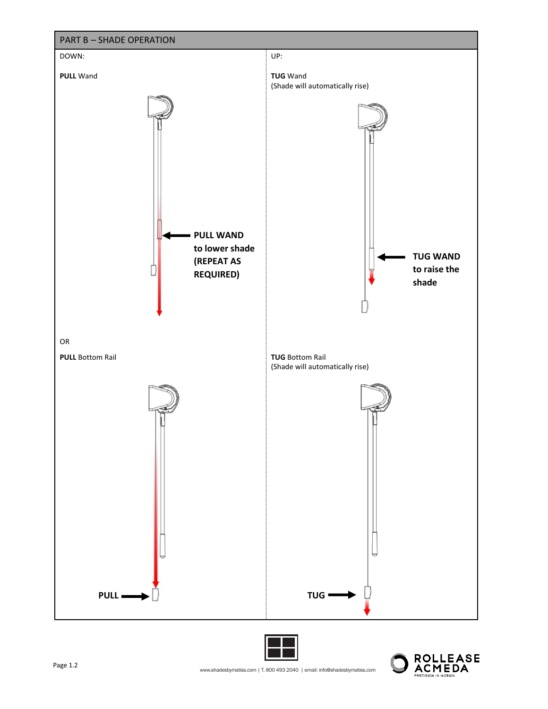

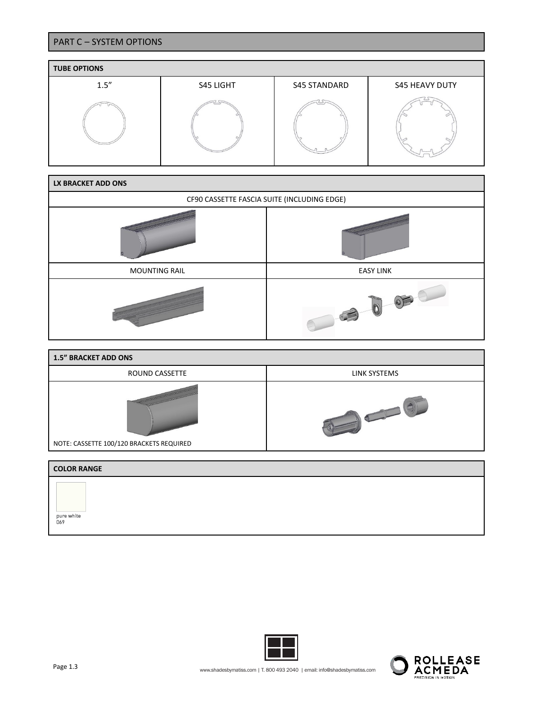## PART C – SYSTEM OPTIONS



| LX BRACKET ADD ONS                          |                  |
|---------------------------------------------|------------------|
| CF90 CASSETTE FASCIA SUITE (INCLUDING EDGE) |                  |
|                                             |                  |
| <b>MOUNTING RAIL</b>                        | <b>EASY LINK</b> |
|                                             |                  |

| <b>1.5" BRACKET ADD ONS</b>              |              |  |  |  |  |  |  |  |  |  |
|------------------------------------------|--------------|--|--|--|--|--|--|--|--|--|
| ROUND CASSETTE                           | LINK SYSTEMS |  |  |  |  |  |  |  |  |  |
| NOTE: CASSETTE 100/120 BRACKETS REQUIRED |              |  |  |  |  |  |  |  |  |  |
|                                          |              |  |  |  |  |  |  |  |  |  |
| <b>COLOR RANGE</b>                       |              |  |  |  |  |  |  |  |  |  |

| <b>LULUR RANGE</b> |  |
|--------------------|--|
| pure white<br>069  |  |
|                    |  |



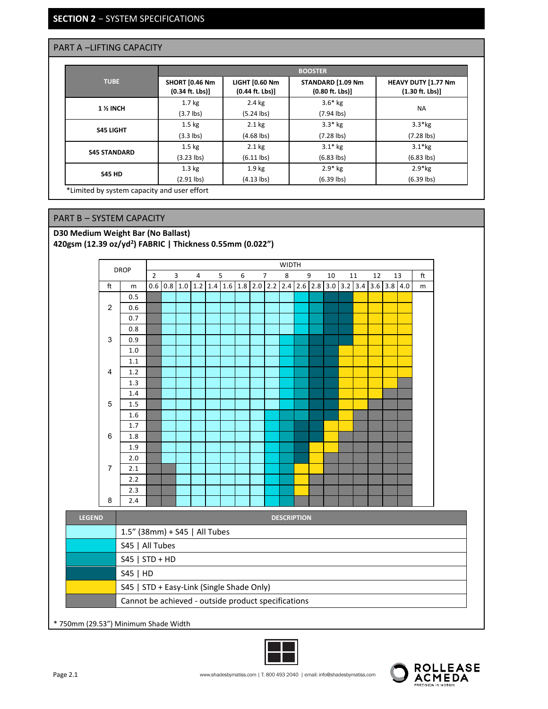## **SECTION 2** − SYSTEM SPECIFICATIONS

## PART A –LIFTING CAPACITY

|                     |                                                   |                                                   | <b>BOOSTER</b>                         |                                                 |
|---------------------|---------------------------------------------------|---------------------------------------------------|----------------------------------------|-------------------------------------------------|
| <b>TUBE</b>         | <b>SHORT [0.46 Nm</b><br>$(0.34 \text{ ft. Lbs})$ | <b>LIGHT [0.60 Nm</b><br>$(0.44 \text{ ft. Lbs})$ | STANDARD [1.09 Nm<br>$(0.80$ ft. Lbs)] | HEAVY DUTY [1.77 Nm<br>$(1.30 \text{ ft. Lbs})$ |
|                     | 1.7 <sub>kg</sub>                                 | $2.4$ kg                                          | $3.6*$ kg                              |                                                 |
| <b>1 % INCH</b>     | $(3.7$ lbs)                                       | $(5.24$ lbs)                                      | $(7.94$ lbs)                           | <b>NA</b>                                       |
|                     | $1.5 \text{ kg}$                                  | $2.1$ kg                                          | $3.3*$ kg                              | $3.3*$ kg                                       |
| <b>S45 LIGHT</b>    | $(3.3$ lbs)                                       | $(4.68$ lbs)                                      | $(7.28$ lbs)                           | $(7.28$ lbs)                                    |
|                     | $1.5 \text{ kg}$                                  | $2.1$ kg                                          | $3.1*$ kg                              | $3.1*$ kg                                       |
| <b>S45 STANDARD</b> | $(3.23$ lbs)                                      | $(6.11$ lbs)                                      | $(6.83$ lbs)                           | $(6.83$ lbs)                                    |
|                     | $1.3 \text{ kg}$                                  | 1.9 <sub>kg</sub>                                 | $2.9*$ kg                              | $2.9*kg$                                        |
| <b>S45 HD</b>       | $(2.91$ lbs)                                      | $(4.13$ lbs)                                      | $(6.39$ lbs)                           | $(6.39$ lbs)                                    |

\*Limited by system capacity and user effort

## PART B – SYSTEM CAPACITY

#### **D30 Medium Weight Bar (No Ballast) 420gsm (12.39 oz/yd2 ) FABRIC | Thickness 0.55mm (0.022")**



\* 750mm (29.53") Minimum Shade Width



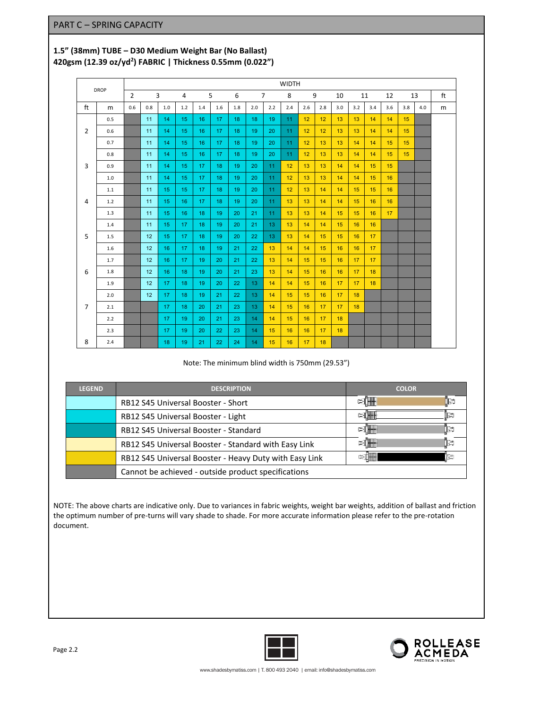## **1.5" (38mm) TUBE – D30 Medium Weight Bar (No Ballast) 420gsm (12.39 oz/yd2 ) FABRIC | Thickness 0.55mm (0.022")**

| <b>DROP</b>    |     |                |     |     |     |     |     |     |     | <b>WIDTH</b>   |     |     |     |     |     |     |     |     |     |    |
|----------------|-----|----------------|-----|-----|-----|-----|-----|-----|-----|----------------|-----|-----|-----|-----|-----|-----|-----|-----|-----|----|
|                |     | $\overline{2}$ |     | 3   | 4   | 5   |     | 6   |     | $\overline{7}$ | 8   | 9   |     | 10  | 11  |     | 12  | 13  |     | ft |
| ft             | m   | 0.6            | 0.8 | 1.0 | 1.2 | 1.4 | 1.6 | 1.8 | 2.0 | 2.2            | 2.4 | 2.6 | 2.8 | 3.0 | 3.2 | 3.4 | 3.6 | 3.8 | 4.0 | m  |
|                | 0.5 |                | 11  | 14  | 15  | 16  | 17  | 18  | 18  | 19             | 11  | 12  | 12  | 13  | 13  | 14  | 14  | 15  |     |    |
| 2              | 0.6 |                | 11  | 14  | 15  | 16  | 17  | 18  | 19  | 20             | 11  | 12  | 12  | 13  | 13  | 14  | 14  | 15  |     |    |
|                | 0.7 |                | 11  | 14  | 15  | 16  | 17  | 18  | 19  | 20             | 11  | 12  | 13  | 13  | 14  | 14  | 15  | 15  |     |    |
|                | 0.8 |                | 11  | 14  | 15  | 16  | 17  | 18  | 19  | 20             | 11  | 12  | 13  | 13  | 14  | 14  | 15  | 15  |     |    |
| 3              | 0.9 |                | 11  | 14  | 15  | 17  | 18  | 19  | 20  | 11             | 12  | 13  | 13  | 14  | 14  | 15  | 15  |     |     |    |
|                | 1.0 |                | 11  | 14  | 15  | 17  | 18  | 19  | 20  | 11             | 12  | 13  | 13  | 14  | 14  | 15  | 16  |     |     |    |
|                | 1.1 |                | 11  | 15  | 15  | 17  | 18  | 19  | 20  | 11             | 12  | 13  | 14  | 14  | 15  | 15  | 16  |     |     |    |
| 4              | 1.2 |                | 11  | 15  | 16  | 17  | 18  | 19  | 20  | 11             | 13  | 13  | 14  | 14  | 15  | 16  | 16  |     |     |    |
|                | 1.3 |                | 11  | 15  | 16  | 18  | 19  | 20  | 21  | 11             | 13  | 13  | 14  | 15  | 15  | 16  | 17  |     |     |    |
|                | 1.4 |                | 11  | 15  | 17  | 18  | 19  | 20  | 21  | 13             | 13  | 14  | 14  | 15  | 16  | 16  |     |     |     |    |
| 5              | 1.5 |                | 12  | 15  | 17  | 18  | 19  | 20  | 22  | 13             | 13  | 14  | 15  | 15  | 16  | 17  |     |     |     |    |
|                | 1.6 |                | 12  | 16  | 17  | 18  | 19  | 21  | 22  | 13             | 14  | 14  | 15  | 16  | 16  | 17  |     |     |     |    |
|                | 1.7 |                | 12  | 16  | 17  | 19  | 20  | 21  | 22  | 13             | 14  | 15  | 15  | 16  | 17  | 17  |     |     |     |    |
| 6              | 1.8 |                | 12  | 16  | 18  | 19  | 20  | 21  | 23  | 13             | 14  | 15  | 16  | 16  | 17  | 18  |     |     |     |    |
|                | 1.9 |                | 12  | 17  | 18  | 19  | 20  | 22  | 13  | 14             | 14  | 15  | 16  | 17  | 17  | 18  |     |     |     |    |
|                | 2.0 |                | 12  | 17  | 18  | 19  | 21  | 22  | 13  | 14             | 15  | 15  | 16  | 17  | 18  |     |     |     |     |    |
| $\overline{7}$ | 2.1 |                |     | 17  | 18  | 20  | 21  | 23  | 13  | 14             | 15  | 16  | 17  | 17  | 18  |     |     |     |     |    |
|                | 2.2 |                |     | 17  | 19  | 20  | 21  | 23  | 14  | 14             | 15  | 16  | 17  | 18  |     |     |     |     |     |    |
|                | 2.3 |                |     | 17  | 19  | 20  | 22  | 23  | 14  | 15             | 16  | 16  | 17  | 18  |     |     |     |     |     |    |
| 8              | 2.4 |                |     | 18  | 19  | 21  | 22  | 24  | 14  | 15             | 16  | 17  | 18  |     |     |     |     |     |     |    |

Note: The minimum blind width is 750mm (29.53")

| <b>LEGEND</b> | <b>DESCRIPTION</b>                                     | <b>COLOR</b>          |
|---------------|--------------------------------------------------------|-----------------------|
|               | RB12 S45 Universal Booster - Short                     | ÞI <del>W</del><br>∐≥ |
|               | RB12 S45 Universal Booster - Light                     |                       |
|               | RB12 S45 Universal Booster - Standard                  | ∏≥                    |
|               | RB12 S45 Universal Booster - Standard with Easy Link   | ∏≥<br><b>STHEER</b>   |
|               | RB12 S45 Universal Booster - Heavy Duty with Easy Link |                       |
|               | Cannot be achieved - outside product specifications    |                       |

NOTE: The above charts are indicative only. Due to variances in fabric weights, weight bar weights, addition of ballast and friction the optimum number of pre-turns will vary shade to shade. For more accurate information please refer to the pre-rotation document.



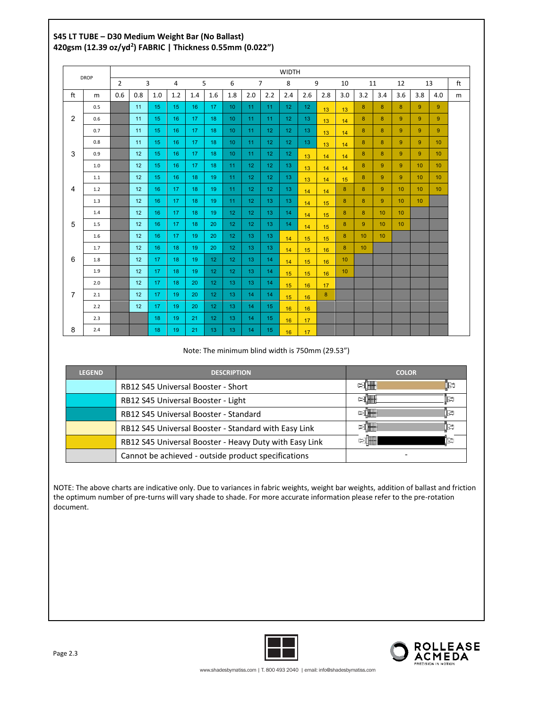## **S45 LT TUBE – D30 Medium Weight Bar (No Ballast) 420gsm (12.39 oz/yd2 ) FABRIC | Thickness 0.55mm (0.022")**

|                |             |                |                |     |     |     |                 |                 |                 |                  | <b>WIDTH</b>    |                 |     |                 |                 |                 |                |                 |                 |    |
|----------------|-------------|----------------|----------------|-----|-----|-----|-----------------|-----------------|-----------------|------------------|-----------------|-----------------|-----|-----------------|-----------------|-----------------|----------------|-----------------|-----------------|----|
|                | <b>DROP</b> | $\overline{2}$ | $\overline{3}$ |     | 4   | 5   |                 | 6               |                 | $\overline{7}$   | 8               | 9               |     | 10              | 11              |                 | 12             | 13              |                 | ft |
| ft             | m           | 0.6            | 0.8            | 1.0 | 1.2 | 1.4 | 1.6             | 1.8             | 2.0             | 2.2              | 2.4             | 2.6             | 2.8 | 3.0             | 3.2             | 3.4             | 3.6            | 3.8             | 4.0             | m  |
|                | 0.5         |                | 11             | 15  | 15  | 16  | 17              | 10 <sup>°</sup> | 11              | 11               | 12 <sup>°</sup> | 12 <sup>2</sup> | 13  | 13              | 8               | 8               | 8              | 9               | 9               |    |
| 2              | 0.6         |                | 11             | 15  | 16  | 17  | 18              | 10 <sup>°</sup> | 11              | 11               | 12 <sub>2</sub> | 13 <sup>°</sup> | 13  | 14              | 8               | 8               | 9 <sup>°</sup> | 9               | 9               |    |
|                | 0.7         |                | 11             | 15  | 16  | 17  | 18              | 10 <sup>°</sup> | 11              | 12               | 12 <sup>2</sup> | 13 <sup>°</sup> | 13  | 14              | 8               | 8               | 9              | 9               | 9               |    |
|                | 0.8         |                | 11             | 15  | 16  | 17  | 18              | 10 <sup>°</sup> | 11              | 12 <sup>°</sup>  | 12 <sub>2</sub> | 13 <sup>°</sup> | 13  | 14              | 8               | 8               | 9              | 9               | 10 <sup>°</sup> |    |
| 3              | 0.9         |                | 12             | 15  | 16  | 17  | 18              | 10 <sup>°</sup> | 11              | 12 <sup>°</sup>  | 12 <sup>2</sup> | 13              | 14  | 14              | 8               | 8               | 9              | 9               | 10 <sup>°</sup> |    |
|                | 1.0         |                | 12             | 15  | 16  | 17  | 18              | 11              | 12              | 12 <sub>2</sub>  | 13              | 13              | 14  | 14              | 8               | 9               | 9 <sup>°</sup> | 10              | 10 <sup>°</sup> |    |
|                | 1.1         |                | 12             | 15  | 16  | 18  | 19              | 11              | 12              | 12 <sub>12</sub> | 13 <sup>°</sup> | 13              | 14  | 15              | 8               | 9               | 9              | 10 <sup>°</sup> | 10 <sup>°</sup> |    |
| 4              | 1.2         |                | 12             | 16  | 17  | 18  | 19              | 11              | 12 <sub>2</sub> | 12 <sub>12</sub> | 13 <sup>°</sup> | 14              | 14  | 8               | 8               | 9               | 10             | 10              | 10 <sup>°</sup> |    |
|                | 1.3         |                | 12             | 16  | 17  | 18  | 19              | 11              | 12              | 13               | 13              | 14              | 15  | 8               | 8               | 9               | 10             | 10              |                 |    |
|                | 1.4         |                | 12             | 16  | 17  | 18  | 19              | 12 <sup>°</sup> | 12 <sub>2</sub> | 13               | 14              | 14              | 15  | 8               | 8               | 10              | 10             |                 |                 |    |
| 5              | 1.5         |                | 12             | 16  | 17  | 18  | 20              | 12 <sup>°</sup> | 12 <sub>2</sub> | 13               | 14              | 14              | 15  | 8               | 9               | 10              | 10             |                 |                 |    |
|                | 1.6         |                | 12             | 16  | 17  | 19  | 20              | 12              | 13 <sup>°</sup> | 13 <sup>°</sup>  | 14              | 15              | 15  | 8               | 10              | 10 <sup>°</sup> |                |                 |                 |    |
|                | 1.7         |                | 12             | 16  | 18  | 19  | 20              | 12 <sup>°</sup> | 13 <sup>°</sup> | 13 <sup>°</sup>  | 14              | 15              | 16  | 8               | 10 <sup>°</sup> |                 |                |                 |                 |    |
| 6              | 1.8         |                | 12             | 17  | 18  | 19  | 12 <sub>2</sub> | 12              | 13              | 14               | 14              | 15              | 16  | 10 <sup>1</sup> |                 |                 |                |                 |                 |    |
|                | 1.9         |                | 12             | 17  | 18  | 19  | 12 <sub>2</sub> | 12              | 13 <sup>°</sup> | 14 <sup>°</sup>  | 15              | 15              | 16  | 10 <sup>°</sup> |                 |                 |                |                 |                 |    |
|                | 2.0         |                | 12             | 17  | 18  | 20  | 12 <sup>°</sup> | 13              | 13              | 14               | 15              | 16              | 17  |                 |                 |                 |                |                 |                 |    |
| $\overline{7}$ | 2.1         |                | 12             | 17  | 19  | 20  | 12 <sup>2</sup> | 13 <sup>°</sup> | 14              | 14               | 15              | 16              | 8   |                 |                 |                 |                |                 |                 |    |
|                | 2.2         |                | 12             | 17  | 19  | 20  | 12 <sup>°</sup> | 13              | 14              | 15               | 16              | 16              |     |                 |                 |                 |                |                 |                 |    |
|                | 2.3         |                |                | 18  | 19  | 21  | 12 <sup>°</sup> | 13 <sup>°</sup> | 14              | 15               | 16              | 17              |     |                 |                 |                 |                |                 |                 |    |
| 8              | 2.4         |                |                | 18  | 19  | 21  | 13              | 13              | 14              | 15               | 16              | 17              |     |                 |                 |                 |                |                 |                 |    |

Note: The minimum blind width is 750mm (29.53")

| <b>LEGEND</b> | <b>DESCRIPTION</b>                                     | <b>COLOR</b>     |
|---------------|--------------------------------------------------------|------------------|
|               | RB12 S45 Universal Booster - Short                     | <b>BITH</b><br>P |
|               | RB12 S45 Universal Booster - Light                     | ि∐∰⊪<br>∏ਵ       |
|               | RB12 S45 Universal Booster - Standard                  | >[₩₩<br>le       |
|               | RB12 S45 Universal Booster - Standard with Easy Link   | ⊳dii<br>∏≥       |
|               | RB12 S45 Universal Booster - Heavy Duty with Easy Link |                  |
|               | Cannot be achieved - outside product specifications    |                  |

NOTE: The above charts are indicative only. Due to variances in fabric weights, weight bar weights, addition of ballast and friction the optimum number of pre-turns will vary shade to shade. For more accurate information please refer to the pre-rotation document.



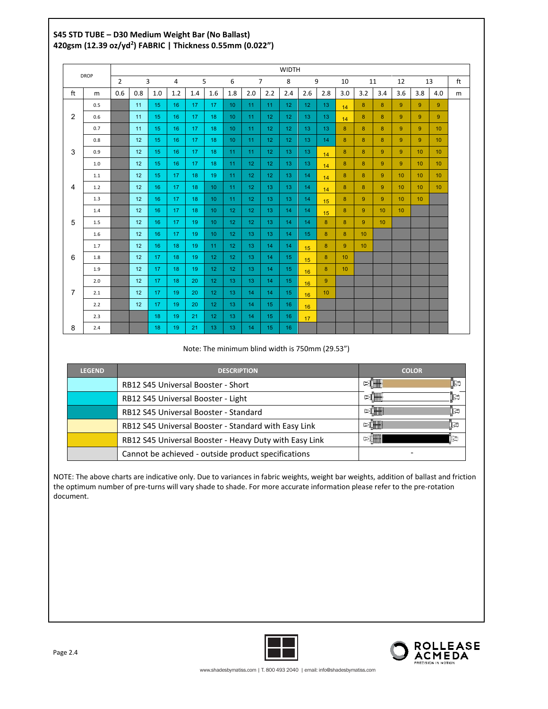## **S45 STD TUBE – D30 Medium Weight Bar (No Ballast) 420gsm (12.39 oz/yd2 ) FABRIC | Thickness 0.55mm (0.022")**

| <b>DROP</b>    |     |                |     |     |     |     |                  |                 |                 | <b>WIDTH</b>    |                 |                 |                 |     |                  |                 |                  |                 |                 |    |
|----------------|-----|----------------|-----|-----|-----|-----|------------------|-----------------|-----------------|-----------------|-----------------|-----------------|-----------------|-----|------------------|-----------------|------------------|-----------------|-----------------|----|
|                |     | $\overline{2}$ |     | 3   | 4   | 5   |                  | 6               |                 | $\overline{7}$  | 8               | 9               |                 | 10  | 11               |                 | 12               | 13              |                 | ft |
| ft             | m   | 0.6            | 0.8 | 1.0 | 1.2 | 1.4 | 1.6              | 1.8             | 2.0             | 2.2             | 2.4             | 2.6             | 2.8             | 3.0 | 3.2              | 3.4             | 3.6              | 3.8             | 4.0             | m  |
|                | 0.5 |                | 11  | 15  | 16  | 17  | 17               | 10              | 11              | 11              | 12              | 12              | 13              | 14  | 8                | 8               | 9                | 9               | 9               |    |
| 2              | 0.6 |                | 11  | 15  | 16  | 17  | 18               | 10 <sup>°</sup> | 11              | 12              | 12 <sub>2</sub> | 13 <sup>°</sup> | 13 <sup>°</sup> | 14  | 8                | 8               | 9                | 9               | 9               |    |
|                | 0.7 |                | 11  | 15  | 16  | 17  | 18               | 10 <sup>°</sup> | 11              | 12 <sup>°</sup> | 12 <sub>2</sub> | 13 <sup>°</sup> | 13              | 8   | 8                | 8               | 9                | 9               | 10 <sup>°</sup> |    |
|                | 0.8 |                | 12  | 15  | 16  | 17  | 18               | 10              | 11              | 12              | 12              | 13              | 14              | 8   | 8                | 8               | 9                | 9               | 10 <sup>°</sup> |    |
| 3              | 0.9 |                | 12  | 15  | 16  | 17  | 18               | 11              | 11              | 12              | 13              | 13              | 14              | 8   | 8                | 9               | 9                | 10              | 10 <sup>°</sup> |    |
|                | 1.0 |                | 12  | 15  | 16  | 17  | 18               | 11              | 12 <sub>2</sub> | 12              | 13              | 13 <sup>°</sup> | 14              | 8   | 8                | 9               | 9                | 10              | 10 <sup>°</sup> |    |
|                | 1.1 |                | 12  | 15  | 17  | 18  | 19               | 11              | 12              | 12              | 13              | 14              | 14              | 8   | 8                | $9^{\circ}$     | 10 <sup>°</sup>  | 10 <sup>°</sup> | 10 <sup>°</sup> |    |
| $\overline{4}$ | 1.2 |                | 12  | 16  | 17  | 18  | 10 <sup>°</sup>  | 11              | 12              | 13 <sup>°</sup> | 13              | 14              | 14              | 8   | 8                | 9               | 10 <sup>°</sup>  | 10              | 10 <sup>°</sup> |    |
|                | 1.3 |                | 12  | 16  | 17  | 18  | 10 <sup>°</sup>  | 11              | 12 <sup>°</sup> | 13              | 13              | 14              | 15              | 8   | 9                | 9               | 10 <sup>10</sup> | 10 <sup>°</sup> |                 |    |
|                | 1.4 |                | 12  | 16  | 17  | 18  | 10 <sup>°</sup>  | 12              | 12 <sub>2</sub> | 13 <sup>°</sup> | 14              | 14              | 15              | 8   | 9                | 10 <sup>1</sup> | 10 <sup>°</sup>  |                 |                 |    |
| 5              | 1.5 |                | 12  | 16  | 17  | 19  | 10 <sup>°</sup>  | 12 <sup>°</sup> | 12 <sub>2</sub> | 13 <sup>°</sup> | 14              | 14              | 8               | 8   | 9                | 10 <sup>°</sup> |                  |                 |                 |    |
|                | 1.6 |                | 12  | 16  | 17  | 19  | 10 <sup>°</sup>  | 12              | 13              | 13              | 14              | 15 <sub>1</sub> | 8               | 8   | 10 <sup>10</sup> |                 |                  |                 |                 |    |
|                | 1.7 |                | 12  | 16  | 18  | 19  | 11               | 12              | 13              | 14              | 14              | 15              | 8               | 9   | 10 <sup>10</sup> |                 |                  |                 |                 |    |
| 6              | 1.8 |                | 12  | 17  | 18  | 19  | 12 <sub>1</sub>  | 12              | 13              | 14              | 15              | 15              | 8               | 10  |                  |                 |                  |                 |                 |    |
|                | 1.9 |                | 12  | 17  | 18  | 19  | 12 <sup>2</sup>  | 12 <sup>°</sup> | 13              | 14              | 15              | 16              | 8               | 10  |                  |                 |                  |                 |                 |    |
|                | 2.0 |                | 12  | 17  | 18  | 20  | 12 <sup>2</sup>  | 13              | 13              | 14              | 15              | 16              | 9               |     |                  |                 |                  |                 |                 |    |
| $\overline{7}$ | 2.1 |                | 12  | 17  | 19  | 20  | 12 <sup>°</sup>  | 13              | 14              | 14              | 15              | 16              | 10              |     |                  |                 |                  |                 |                 |    |
|                | 2.2 |                | 12  | 17  | 19  | 20  | 12 <sup>2</sup>  | 13              | 14              | 15              | 16              | 16              |                 |     |                  |                 |                  |                 |                 |    |
|                | 2.3 |                |     | 18  | 19  | 21  | 12 <sub>12</sub> | 13              | 14              | 15              | 16              | 17              |                 |     |                  |                 |                  |                 |                 |    |
| 8              | 2.4 |                |     | 18  | 19  | 21  | 13 <sup>°</sup>  | 13              | 14              | 15              | 16              |                 |                 |     |                  |                 |                  |                 |                 |    |

#### Note: The minimum blind width is 750mm (29.53")

| <b>LEGEND</b> | <b>DESCRIPTION</b>                                     | <b>COLOR</b>     |
|---------------|--------------------------------------------------------|------------------|
|               | RB12 S45 Universal Booster - Short                     | ⋝Ѭ⊪<br>₽         |
|               | RB12 S45 Universal Booster - Light                     | per de la p<br>r |
|               | RB12 S45 Universal Booster - Standard                  | Þ<br>≈IIII       |
|               | RB12 S45 Universal Booster - Standard with Easy Link   | Įa<br>≥∐₩₩       |
|               | RB12 S45 Universal Booster - Heavy Duty with Easy Link | œ                |
|               | Cannot be achieved - outside product specifications    |                  |

NOTE: The above charts are indicative only. Due to variances in fabric weights, weight bar weights, addition of ballast and friction the optimum number of pre-turns will vary shade to shade. For more accurate information please refer to the pre-rotation document.



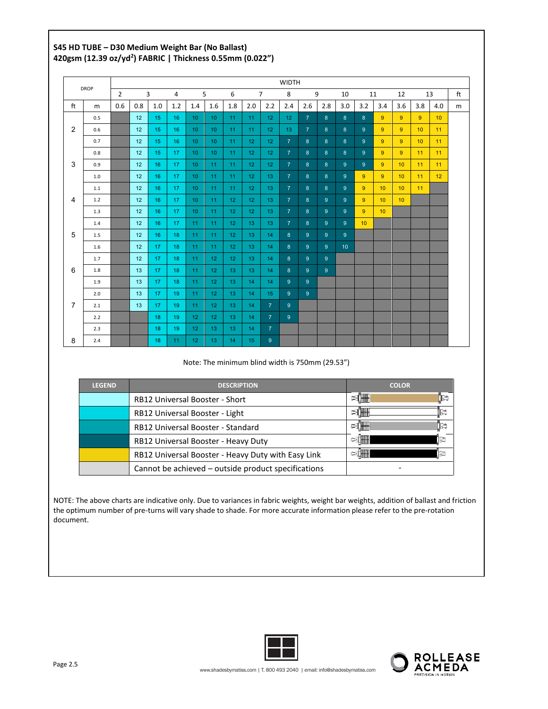## **S45 HD TUBE – D30 Medium Weight Bar (No Ballast) 420gsm (12.39 oz/yd2 ) FABRIC | Thickness 0.55mm (0.022")**

|                |      |                |     |                 |     |                  |                 |                 |                 |                 | <b>WIDTH</b>   |                |                |                 |                 |                 |                 |     |                 |    |
|----------------|------|----------------|-----|-----------------|-----|------------------|-----------------|-----------------|-----------------|-----------------|----------------|----------------|----------------|-----------------|-----------------|-----------------|-----------------|-----|-----------------|----|
|                | DROP | $\overline{2}$ |     | 3               | 4   | 5                |                 | 6               |                 | $\overline{7}$  | 8              | 9              |                | 10              | 11              |                 | 12              |     | 13              | ft |
| ft             | m    | 0.6            | 0.8 | 1.0             | 1.2 | 1.4              | 1.6             | 1.8             | 2.0             | 2.2             | 2.4            | 2.6            | 2.8            | 3.0             | 3.2             | 3.4             | 3.6             | 3.8 | 4.0             | m  |
|                | 0.5  |                | 12  | 15              | 16  | 10 <sup>10</sup> | 10 <sup>°</sup> | 11              | 11              | 12              | 12             | $\overline{7}$ | 8 <sup>°</sup> | 8               | 8               | 9               | 9               | 9   | 10              |    |
| 2              | 0.6  |                | 12  | 15              | 16  | 10 <sup>10</sup> | 10 <sup>°</sup> | 11              | 11              | 12              | 13             | $\overline{7}$ | 8              | 8               | 9 <sup>°</sup>  | 9               | 9               | 10  | 11              |    |
|                | 0.7  |                | 12  | 15              | 16  | 10 <sup>10</sup> | 10 <sup>°</sup> | 11              | 12              | 12              | $\overline{7}$ | 8              | 8              | 8               | 9 <sup>°</sup>  | 9               | 9               | 10  | 11              |    |
|                | 0.8  |                | 12  | 15              | 17  | 10 <sup>°</sup>  | 10 <sup>°</sup> | 11              | 12 <sup>°</sup> | 12 <sup>°</sup> | $\overline{7}$ | 8 <sup>°</sup> | 8 <sup>°</sup> | 8               | 9 <sup>°</sup>  | 9               | 9               | 11  | 11              |    |
| 3              | 0.9  |                | 12  | 16              | 17  | 10 <sup>10</sup> | 11              | 11              | 12 <sup>°</sup> | 12 <sup>°</sup> | $\overline{7}$ | 8 <sup>°</sup> | 8              | 9               | 9 <sup>°</sup>  | 9               | 10              | 11  | 11              |    |
|                | 1.0  |                | 12  | 16              | 17  | 10 <sup>10</sup> | 11              | 11              | 12              | 13              | $\overline{7}$ | 8 <sup>°</sup> | 8 <sup>°</sup> | 9               | 9               | 9               | 10              | 11  | 12 <sup>7</sup> |    |
|                | 1.1  |                | 12  | 16              | 17  | 10 <sup>°</sup>  | 11              | 11              | 12 <sup>°</sup> | 13              | $\overline{7}$ | 8 <sup>°</sup> | 8 <sup>8</sup> | 9               | 9               | 10 <sup>1</sup> | 10              | 11  |                 |    |
| 4              | 1.2  |                | 12  | 16              | 17  | 10 <sup>10</sup> | 11              | 12 <sup>°</sup> | 12              | 13              | $\overline{7}$ | 8              | 9              | 9               | 9               | 10 <sup>°</sup> | 10 <sup>°</sup> |     |                 |    |
|                | 1.3  |                | 12  | 16              | 17  | 10 <sup>°</sup>  | 11              | 12 <sup>°</sup> | 12 <sup>°</sup> | 13 <sub>1</sub> | $\overline{7}$ | 8 <sup>°</sup> | 9              | 9               | 9               | 10 <sup>°</sup> |                 |     |                 |    |
|                | 1.4  |                | 12  | 16              | 17  | 11               | 11              | 12 <sup>°</sup> | 13              | 13              | $\overline{7}$ | 8 <sup>°</sup> | 9              | 9               | 10 <sup>1</sup> |                 |                 |     |                 |    |
| 5              | 1.5  |                | 12  | 16              | 18  | 11               | 11              | 12 <sup>°</sup> | 13              | 14              | 8              | 9              | 9              | 9               |                 |                 |                 |     |                 |    |
|                | 1.6  |                | 12  | 17              | 18  | 11               | 11              | 12              | 13              | 14              | 8              | 9              | 9              | 10 <sup>°</sup> |                 |                 |                 |     |                 |    |
|                | 1.7  |                | 12  | 17              | 18  | 11               | 12 <sup>°</sup> | 12 <sub>2</sub> | 13              | 14              | 8              | 9              | 9              |                 |                 |                 |                 |     |                 |    |
| 6              | 1.8  |                | 13  | 17 <sup>2</sup> | 18  | 11               | 12 <sub>1</sub> | 13              | 13              | 14              | 8              | 9 <sup>°</sup> | 9 <sup>°</sup> |                 |                 |                 |                 |     |                 |    |
|                | 1.9  |                | 13  | 17              | 18  | 11               | 12 <sup>°</sup> | 13              | 14              | 14              | 9              | 9              |                |                 |                 |                 |                 |     |                 |    |
|                | 2.0  |                | 13  | 17              | 19  | 11               | 12 <sup>°</sup> | 13              | 14              | 15              | 9              | $9^{\circ}$    |                |                 |                 |                 |                 |     |                 |    |
| $\overline{7}$ | 2.1  |                | 13  | 17              | 19  | 11               | 12 <sub>2</sub> | 13              | 14              | 7 <sup>1</sup>  | 9              |                |                |                 |                 |                 |                 |     |                 |    |
|                | 2.2  |                |     | 18              | 19  | 12 <sup>2</sup>  | 12 <sup>°</sup> | 13              | 14              | $\overline{7}$  | 9 <sup>°</sup> |                |                |                 |                 |                 |                 |     |                 |    |
|                | 2.3  |                |     | 18              | 19  | 12               | 13              | 13              | 14              | 7 <sup>7</sup>  |                |                |                |                 |                 |                 |                 |     |                 |    |
| 8              | 2.4  |                |     | 18              | 11  | 12               | 13              | 14              | 15              | 9 <sup>°</sup>  |                |                |                |                 |                 |                 |                 |     |                 |    |

Note: The minimum blind width is 750mm (29.53")

| <b>LEGEND</b> | <b>DESCRIPTION</b>                                  | <b>COLOR</b>      |
|---------------|-----------------------------------------------------|-------------------|
|               | <b>RB12 Universal Booster - Short</b>               | Į₽<br>DTHE.       |
|               | RB12 Universal Booster - Light                      | k<br><b>EITHE</b> |
|               | <b>RB12 Universal Booster - Standard</b>            | ∏≥<br>PI₩₩        |
|               | RB12 Universal Booster - Heavy Duty                 | ĪS<br>12.         |
|               | RB12 Universal Booster - Heavy Duty with Easy Link  | 11e<br>ST.        |
|               | Cannot be achieved – outside product specifications |                   |

NOTE: The above charts are indicative only. Due to variances in fabric weights, weight bar weights, addition of ballast and friction the optimum number of pre-turns will vary shade to shade. For more accurate information please refer to the pre-rotation document.



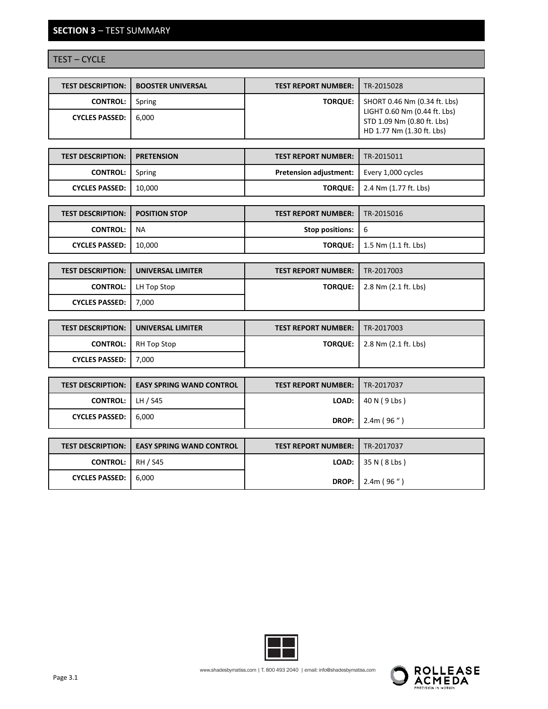## **SECTION 3** – TEST SUMMARY

## TEST – CYCLE

| <b>TEST DESCRIPTION:</b> | <b>BOOSTER UNIVERSAL</b> | <b>TEST REPORT NUMBER:</b> | TR-2015028                                                                              |
|--------------------------|--------------------------|----------------------------|-----------------------------------------------------------------------------------------|
| <b>CONTROL:</b>          | Spring                   | <b>TORQUE:</b>             | $\blacksquare$ SHORT 0.46 Nm (0.34 ft. Lbs)                                             |
| <b>CYCLES PASSED:</b>    | 6.000                    |                            | LIGHT 0.60 Nm (0.44 ft. Lbs)<br>STD 1.09 Nm (0.80 ft. Lbs)<br>HD 1.77 Nm (1.30 ft. Lbs) |

| <b>TEST DESCRIPTION: I PRETENSION</b> | <b>TEST REPORT NUMBER:   TR-2015011</b>            |                                      |
|---------------------------------------|----------------------------------------------------|--------------------------------------|
| <b>CONTROL:</b> Spring                | <b>Pretension adjustment:</b>   Every 1,000 cycles |                                      |
| CYCLES PASSED:   10,000               |                                                    | <b>TORQUE:</b> 2.4 Nm (1.77 ft. Lbs) |

| <b>TEST DESCRIPTION:   POSITION STOP</b> |        | <b>TEST REPORT NUMBER: 1 TR-2015016</b>                  |                                             |
|------------------------------------------|--------|----------------------------------------------------------|---------------------------------------------|
| <b>CONTROL:</b>                          | NA     | <b>Stop positions:</b> $\begin{bmatrix} 6 \end{bmatrix}$ |                                             |
| <b>CYCLES PASSED:</b>                    | 10.000 |                                                          | <b>TORQUE:</b> $\vert$ 1.5 Nm (1.1 ft. Lbs) |

|                       | <b>TEST DESCRIPTION: I UNIVERSAL LIMITER</b> | <b>TEST REPORT NUMBER:   TR-2017003</b> |                                       |
|-----------------------|----------------------------------------------|-----------------------------------------|---------------------------------------|
|                       | <b>CONTROL:</b> LH Top Stop                  |                                         | <b>TORQUE:</b>   2.8 Nm (2.1 ft. Lbs) |
| CYCLES PASSED: 17,000 |                                              |                                         |                                       |

|                        | <b>TEST DESCRIPTION:   UNIVERSAL LIMITER</b> | <b>TEST REPORT NUMBER:   TR-2017003</b> |                                       |
|------------------------|----------------------------------------------|-----------------------------------------|---------------------------------------|
|                        | <b>CONTROL:</b> RH Top Stop                  |                                         | <b>TORQUE:</b>   2.8 Nm (2.1 ft. Lbs) |
| CYCLES PASSED:   7,000 |                                              |                                         |                                       |

|                           | <b>TEST DESCRIPTION: 1 EASY SPRING WAND CONTROL</b> | <b>TEST REPORT NUMBER:   TR-2017037</b> |                                     |
|---------------------------|-----------------------------------------------------|-----------------------------------------|-------------------------------------|
| <b>CONTROL:</b> $H / S45$ |                                                     |                                         | <b>LOAD:</b> $\vert$ 40 N (9 Lbs)   |
| <b>CYCLES PASSED:</b>     | 6.000                                               |                                         | <b>DROP:</b>   2.4m (96 $\degree$ ) |

|                          | <b>TEST DESCRIPTION: 1 EASY SPRING WAND CONTROL</b> | <b>TEST REPORT NUMBER:   TR-2017037</b> |                                       |
|--------------------------|-----------------------------------------------------|-----------------------------------------|---------------------------------------|
| <b>CONTROL:</b> RH / S45 |                                                     |                                         | <b>LOAD:</b> 35 N ( $8 \text{ Lbs}$ ) |
| <b>CYCLES PASSED:</b>    | 6.000                                               |                                         | <b>DROP:</b>   2.4m $(96'')$          |



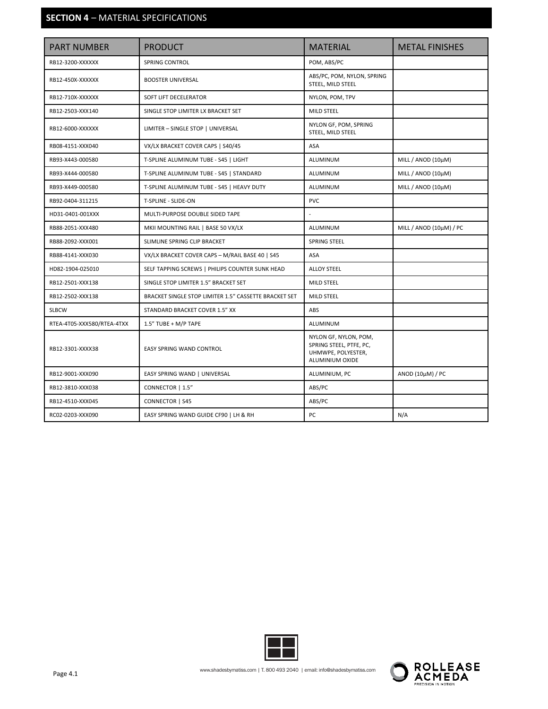## **SECTION 4** – MATERIAL SPECIFICATIONS

| <b>PART NUMBER</b>         | <b>PRODUCT</b>                                        | <b>MATERIAL</b>                                                                           | <b>METAL FINISHES</b>   |
|----------------------------|-------------------------------------------------------|-------------------------------------------------------------------------------------------|-------------------------|
| RB12-3200-XXXXXX           | SPRING CONTROL                                        | POM, ABS/PC                                                                               |                         |
| RB12-450X-XXXXXX           | <b>BOOSTER UNIVERSAL</b>                              | ABS/PC, POM, NYLON, SPRING<br>STEEL, MILD STEEL                                           |                         |
| RB12-710X-XXXXXX           | <b>SOFT LIFT DECELERATOR</b>                          | NYLON, POM, TPV                                                                           |                         |
| RB12-2503-XXX140           | SINGLE STOP LIMITER LX BRACKET SET                    | MILD STEEL                                                                                |                         |
| RB12-6000-XXXXXX           | LIMITER - SINGLE STOP   UNIVERSAL                     | NYLON GF, POM, SPRING<br>STEEL, MILD STEEL                                                |                         |
| RB08-4151-XXX040           | VX/LX BRACKET COVER CAPS   S40/45                     | ASA                                                                                       |                         |
| RB93-X443-000580           | T-SPLINE ALUMINUM TUBE - S45   LIGHT                  | <b>ALUMINUM</b>                                                                           | MILL / ANOD (10µM)      |
| RB93-X444-000580           | T-SPLINE ALUMINUM TUBE - S45   STANDARD               | <b>ALUMINUM</b>                                                                           | MILL / ANOD (10µM)      |
| RB93-X449-000580           | T-SPLINE ALUMINUM TUBE - S45   HEAVY DUTY             | ALUMINUM                                                                                  | MILL / ANOD (10µM)      |
| RB92-0404-311215           | T-SPLINE - SLIDE-ON                                   | <b>PVC</b>                                                                                |                         |
| HD31-0401-001XXX           | MULTI-PURPOSE DOUBLE SIDED TAPE                       | $\overline{a}$                                                                            |                         |
| RB88-2051-XXX480           | MKII MOUNTING RAIL   BASE 50 VX/LX                    | <b>ALUMINUM</b>                                                                           | MILL / ANOD (10µM) / PC |
| RB88-2092-XXX001           | SLIMLINE SPRING CLIP BRACKET                          | <b>SPRING STEEL</b>                                                                       |                         |
| RB88-4141-XXX030           | VX/LX BRACKET COVER CAPS - M/RAIL BASE 40   S45       | ASA                                                                                       |                         |
| HD82-1904-025010           | SELF TAPPING SCREWS   PHILIPS COUNTER SUNK HEAD       | <b>ALLOY STEEL</b>                                                                        |                         |
| RB12-2501-XXX138           | SINGLE STOP LIMITER 1.5" BRACKET SET                  | <b>MILD STEEL</b>                                                                         |                         |
| RB12-2502-XXX138           | BRACKET SINGLE STOP LIMITER 1.5" CASSETTE BRACKET SET | <b>MILD STEEL</b>                                                                         |                         |
| <b>SLBCW</b>               | STANDARD BRACKET COVER 1.5" XX                        | ABS                                                                                       |                         |
| RTEA-4T05-XXX580/RTEA-4TXX | 1.5" TUBE + M/P TAPE                                  | ALUMINUM                                                                                  |                         |
| RB12-3301-XXXX38           | EASY SPRING WAND CONTROL                              | NYLON GF, NYLON, POM,<br>SPRING STEEL, PTFE, PC,<br>UHMWPE, POLYESTER,<br>ALUMINIUM OXIDE |                         |
| RB12-9001-XXX090           | EASY SPRING WAND   UNIVERSAL                          | ALUMINIUM, PC                                                                             | ANOD (10µM) / PC        |
| RB12-3810-XXX038           | CONNECTOR   1.5"                                      | ABS/PC                                                                                    |                         |
| RB12-4510-XXX045           | CONNECTOR   S45                                       | ABS/PC                                                                                    |                         |
| RC02-0203-XXX090           | EASY SPRING WAND GUIDE CF90   LH & RH                 | PC                                                                                        | N/A                     |



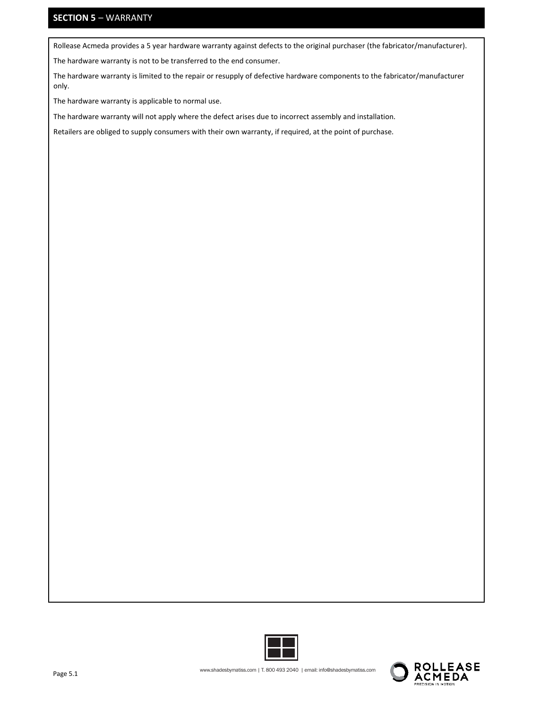## **SECTION 5** – WARRANTY

Rollease Acmeda provides a 5 year hardware warranty against defects to the original purchaser (the fabricator/manufacturer).

The hardware warranty is not to be transferred to the end consumer.

The hardware warranty is limited to the repair or resupply of defective hardware components to the fabricator/manufacturer only.

The hardware warranty is applicable to normal use.

The hardware warranty will not apply where the defect arises due to incorrect assembly and installation.

Retailers are obliged to supply consumers with their own warranty, if required, at the point of purchase.



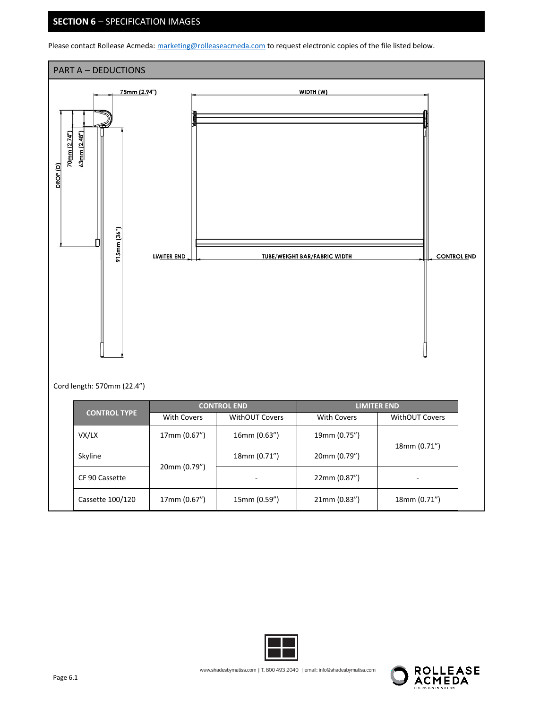## **SECTION 6** – SPECIFICATION IMAGES

Please contact Rollease Acmeda: marketing@rolleaseacmeda.com to request electronic copies of the file listed below.